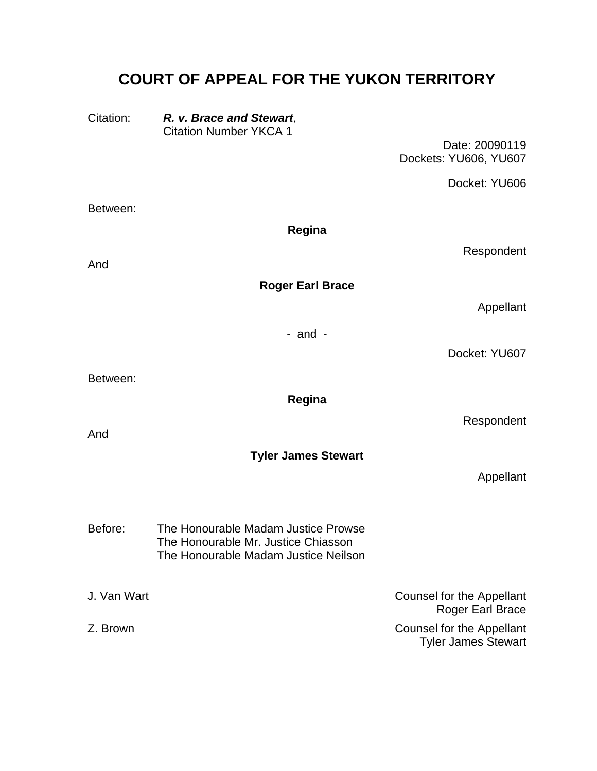# **COURT OF APPEAL FOR THE YUKON TERRITORY**

Citation: *R. v. Brace and Stewart*, Citation Number YKCA 1

> Date: 20090119 Dockets: YU606, YU607

> > Docket: YU606

Tyler James Stewart

Between: **Regina**  Respondent And **Roger Earl Brace**  Appellant - and - Docket: YU607 Between: **Regina**  Respondent And **Tyler James Stewart**  Appellant The Honourable Madam Justice Prowse The Honourable Mr. Justice Chiasson Before: The Honourable Madam Justice Neilson J. Van Wart **Counsel for the Appellant** Roger Earl Brace Z. Brown Counsel for the Appellant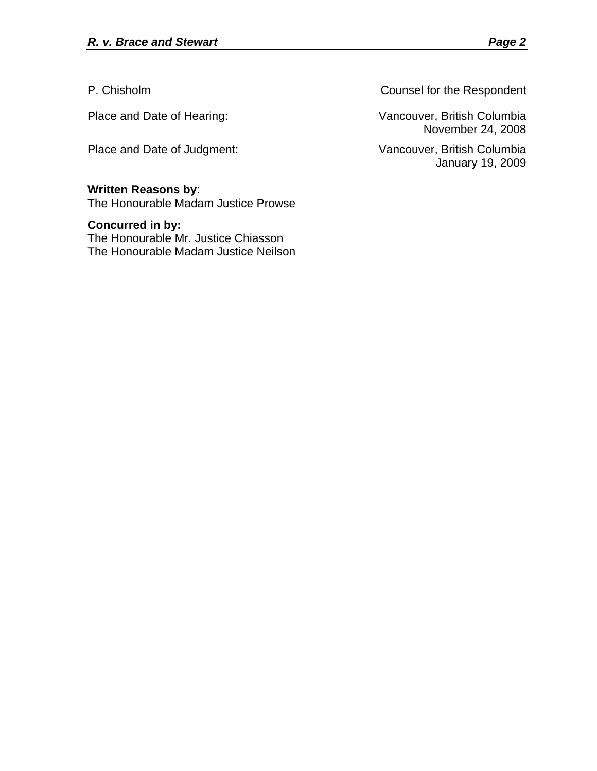Place and Date of Judgment: Vancouver, British Columbia

# **Written Reasons by**:

The Honourable Madam Justice Prowse

## **Concurred in by:**

The Honourable Mr. Justice Chiasson The Honourable Madam Justice Neilson

P. Chisholm Counsel for the Respondent

Place and Date of Hearing: Vancouver, British Columbia November 24, 2008

January 19, 2009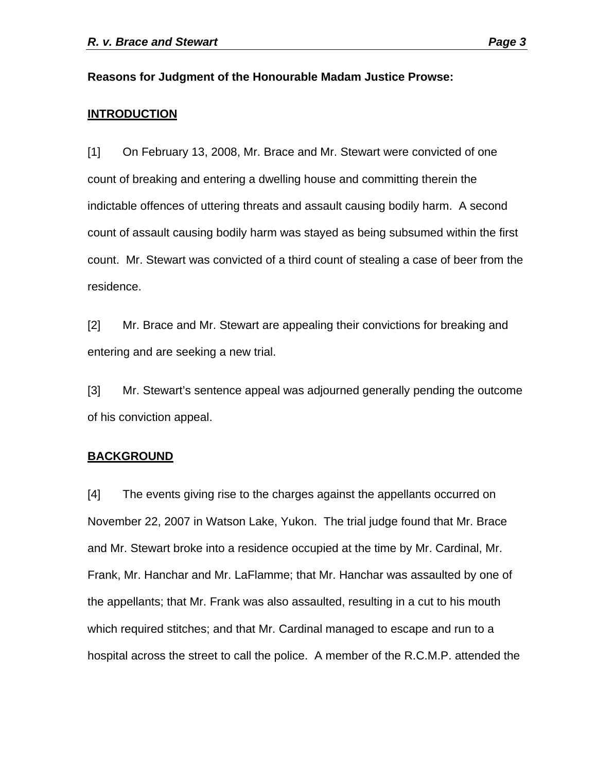#### **Reasons for Judgment of the Honourable Madam Justice Prowse:**

#### **INTRODUCTION**

[1] On February 13, 2008, Mr. Brace and Mr. Stewart were convicted of one count of breaking and entering a dwelling house and committing therein the indictable offences of uttering threats and assault causing bodily harm. A second count of assault causing bodily harm was stayed as being subsumed within the first count. Mr. Stewart was convicted of a third count of stealing a case of beer from the residence.

[2] Mr. Brace and Mr. Stewart are appealing their convictions for breaking and entering and are seeking a new trial.

[3] Mr. Stewart's sentence appeal was adjourned generally pending the outcome of his conviction appeal.

#### **BACKGROUND**

[4] The events giving rise to the charges against the appellants occurred on November 22, 2007 in Watson Lake, Yukon. The trial judge found that Mr. Brace and Mr. Stewart broke into a residence occupied at the time by Mr. Cardinal, Mr. Frank, Mr. Hanchar and Mr. LaFlamme; that Mr. Hanchar was assaulted by one of the appellants; that Mr. Frank was also assaulted, resulting in a cut to his mouth which required stitches; and that Mr. Cardinal managed to escape and run to a hospital across the street to call the police. A member of the R.C.M.P. attended the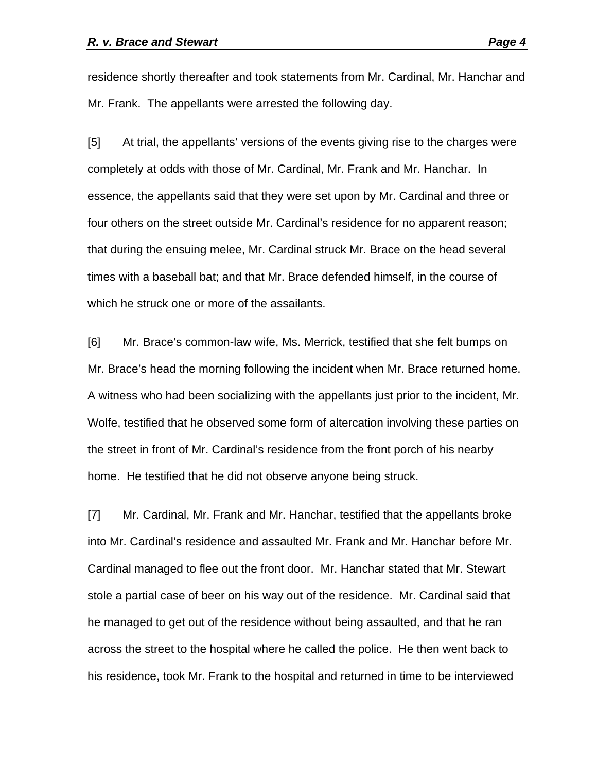residence shortly thereafter and took statements from Mr. Cardinal, Mr. Hanchar and Mr. Frank. The appellants were arrested the following day.

[5] At trial, the appellants' versions of the events giving rise to the charges were completely at odds with those of Mr. Cardinal, Mr. Frank and Mr. Hanchar. In essence, the appellants said that they were set upon by Mr. Cardinal and three or four others on the street outside Mr. Cardinal's residence for no apparent reason; that during the ensuing melee, Mr. Cardinal struck Mr. Brace on the head several times with a baseball bat; and that Mr. Brace defended himself, in the course of which he struck one or more of the assailants.

[6] Mr. Brace's common-law wife, Ms. Merrick, testified that she felt bumps on Mr. Brace's head the morning following the incident when Mr. Brace returned home. A witness who had been socializing with the appellants just prior to the incident, Mr. Wolfe, testified that he observed some form of altercation involving these parties on the street in front of Mr. Cardinal's residence from the front porch of his nearby home. He testified that he did not observe anyone being struck.

[7] Mr. Cardinal, Mr. Frank and Mr. Hanchar, testified that the appellants broke into Mr. Cardinal's residence and assaulted Mr. Frank and Mr. Hanchar before Mr. Cardinal managed to flee out the front door. Mr. Hanchar stated that Mr. Stewart stole a partial case of beer on his way out of the residence. Mr. Cardinal said that he managed to get out of the residence without being assaulted, and that he ran across the street to the hospital where he called the police. He then went back to his residence, took Mr. Frank to the hospital and returned in time to be interviewed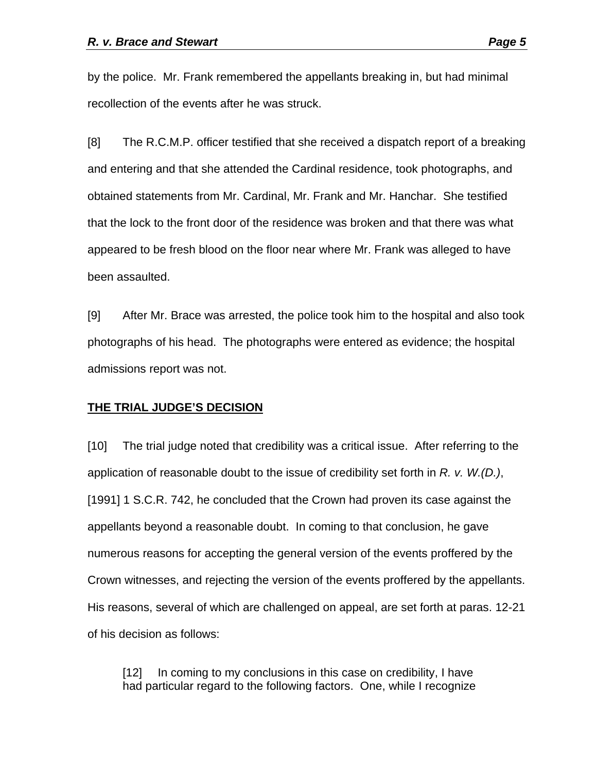by the police. Mr. Frank remembered the appellants breaking in, but had minimal recollection of the events after he was struck.

[8] The R.C.M.P. officer testified that she received a dispatch report of a breaking and entering and that she attended the Cardinal residence, took photographs, and obtained statements from Mr. Cardinal, Mr. Frank and Mr. Hanchar. She testified that the lock to the front door of the residence was broken and that there was what appeared to be fresh blood on the floor near where Mr. Frank was alleged to have been assaulted.

[9] After Mr. Brace was arrested, the police took him to the hospital and also took photographs of his head. The photographs were entered as evidence; the hospital admissions report was not.

### **THE TRIAL JUDGE'S DECISION**

[10] The trial judge noted that credibility was a critical issue. After referring to the application of reasonable doubt to the issue of credibility set forth in *R. v. W.(D.)*, [1991] 1 S.C.R. 742, he concluded that the Crown had proven its case against the appellants beyond a reasonable doubt. In coming to that conclusion, he gave numerous reasons for accepting the general version of the events proffered by the Crown witnesses, and rejecting the version of the events proffered by the appellants. His reasons, several of which are challenged on appeal, are set forth at paras. 12-21 of his decision as follows:

[12] In coming to my conclusions in this case on credibility, I have had particular regard to the following factors. One, while I recognize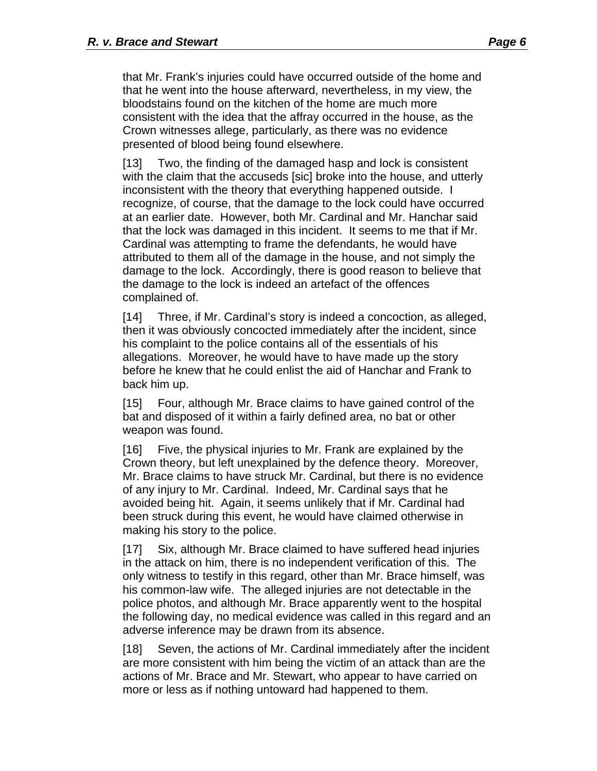that Mr. Frank's injuries could have occurred outside of the home and that he went into the house afterward, nevertheless, in my view, the bloodstains found on the kitchen of the home are much more consistent with the idea that the affray occurred in the house, as the Crown witnesses allege, particularly, as there was no evidence presented of blood being found elsewhere.

[13] Two, the finding of the damaged hasp and lock is consistent with the claim that the accuseds [sic] broke into the house, and utterly inconsistent with the theory that everything happened outside. I recognize, of course, that the damage to the lock could have occurred at an earlier date. However, both Mr. Cardinal and Mr. Hanchar said that the lock was damaged in this incident. It seems to me that if Mr. Cardinal was attempting to frame the defendants, he would have attributed to them all of the damage in the house, and not simply the damage to the lock. Accordingly, there is good reason to believe that the damage to the lock is indeed an artefact of the offences complained of.

[14] Three, if Mr. Cardinal's story is indeed a concoction, as alleged, then it was obviously concocted immediately after the incident, since his complaint to the police contains all of the essentials of his allegations. Moreover, he would have to have made up the story before he knew that he could enlist the aid of Hanchar and Frank to back him up.

[15] Four, although Mr. Brace claims to have gained control of the bat and disposed of it within a fairly defined area, no bat or other weapon was found.

[16] Five, the physical injuries to Mr. Frank are explained by the Crown theory, but left unexplained by the defence theory. Moreover, Mr. Brace claims to have struck Mr. Cardinal, but there is no evidence of any injury to Mr. Cardinal. Indeed, Mr. Cardinal says that he avoided being hit. Again, it seems unlikely that if Mr. Cardinal had been struck during this event, he would have claimed otherwise in making his story to the police.

[17] Six, although Mr. Brace claimed to have suffered head injuries in the attack on him, there is no independent verification of this. The only witness to testify in this regard, other than Mr. Brace himself, was his common-law wife. The alleged injuries are not detectable in the police photos, and although Mr. Brace apparently went to the hospital the following day, no medical evidence was called in this regard and an adverse inference may be drawn from its absence.

[18] Seven, the actions of Mr. Cardinal immediately after the incident are more consistent with him being the victim of an attack than are the actions of Mr. Brace and Mr. Stewart, who appear to have carried on more or less as if nothing untoward had happened to them.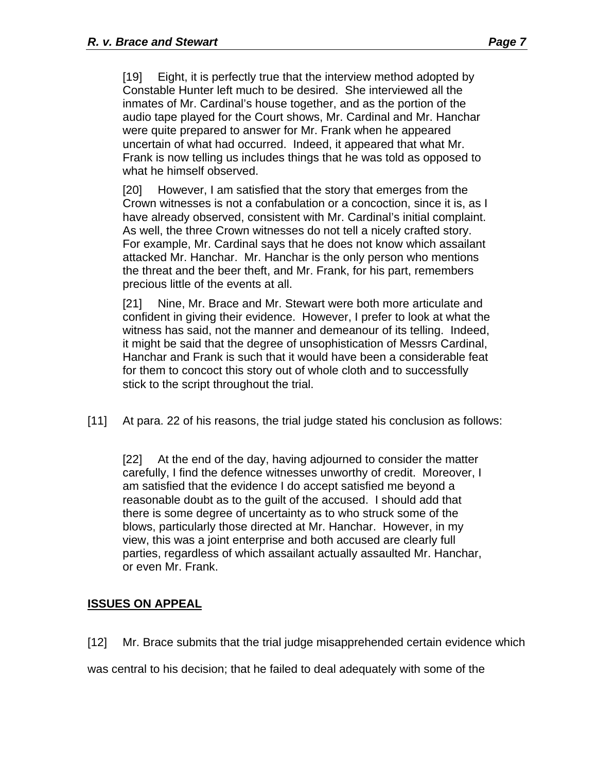[19] Eight, it is perfectly true that the interview method adopted by Constable Hunter left much to be desired. She interviewed all the inmates of Mr. Cardinal's house together, and as the portion of the audio tape played for the Court shows, Mr. Cardinal and Mr. Hanchar were quite prepared to answer for Mr. Frank when he appeared uncertain of what had occurred. Indeed, it appeared that what Mr. Frank is now telling us includes things that he was told as opposed to what he himself observed.

[20] However, I am satisfied that the story that emerges from the Crown witnesses is not a confabulation or a concoction, since it is, as I have already observed, consistent with Mr. Cardinal's initial complaint. As well, the three Crown witnesses do not tell a nicely crafted story. For example, Mr. Cardinal says that he does not know which assailant attacked Mr. Hanchar. Mr. Hanchar is the only person who mentions the threat and the beer theft, and Mr. Frank, for his part, remembers precious little of the events at all.

[21] Nine, Mr. Brace and Mr. Stewart were both more articulate and confident in giving their evidence. However, I prefer to look at what the witness has said, not the manner and demeanour of its telling. Indeed, it might be said that the degree of unsophistication of Messrs Cardinal, Hanchar and Frank is such that it would have been a considerable feat for them to concoct this story out of whole cloth and to successfully stick to the script throughout the trial.

[11] At para. 22 of his reasons, the trial judge stated his conclusion as follows:

[22] At the end of the day, having adjourned to consider the matter carefully, I find the defence witnesses unworthy of credit. Moreover, I am satisfied that the evidence I do accept satisfied me beyond a reasonable doubt as to the guilt of the accused. I should add that there is some degree of uncertainty as to who struck some of the blows, particularly those directed at Mr. Hanchar. However, in my view, this was a joint enterprise and both accused are clearly full parties, regardless of which assailant actually assaulted Mr. Hanchar, or even Mr. Frank.

# **ISSUES ON APPEAL**

[12] Mr. Brace submits that the trial judge misapprehended certain evidence which

was central to his decision; that he failed to deal adequately with some of the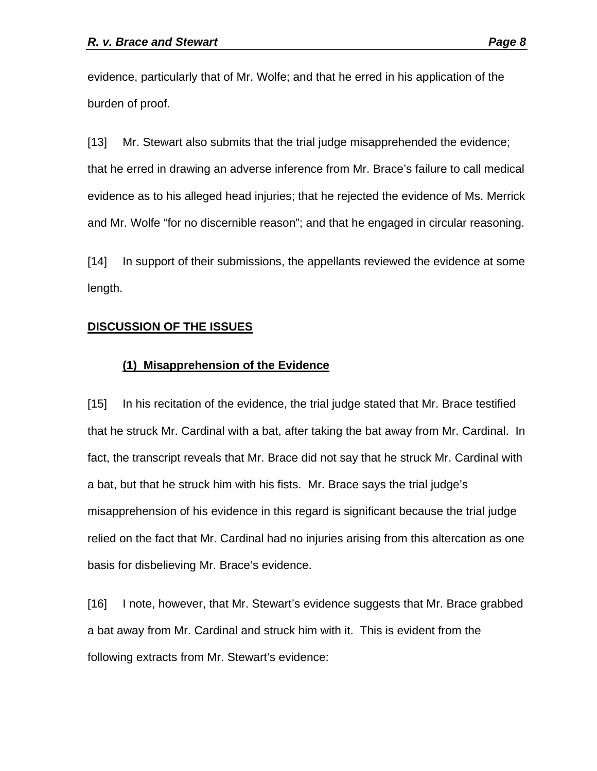evidence, particularly that of Mr. Wolfe; and that he erred in his application of the burden of proof.

[13] Mr. Stewart also submits that the trial judge misapprehended the evidence; that he erred in drawing an adverse inference from Mr. Brace's failure to call medical evidence as to his alleged head injuries; that he rejected the evidence of Ms. Merrick and Mr. Wolfe "for no discernible reason"; and that he engaged in circular reasoning.

[14] In support of their submissions, the appellants reviewed the evidence at some length.

### **DISCUSSION OF THE ISSUES**

### **(1) Misapprehension of the Evidence**

[15] In his recitation of the evidence, the trial judge stated that Mr. Brace testified that he struck Mr. Cardinal with a bat, after taking the bat away from Mr. Cardinal. In fact, the transcript reveals that Mr. Brace did not say that he struck Mr. Cardinal with a bat, but that he struck him with his fists. Mr. Brace says the trial judge's misapprehension of his evidence in this regard is significant because the trial judge relied on the fact that Mr. Cardinal had no injuries arising from this altercation as one basis for disbelieving Mr. Brace's evidence.

[16] I note, however, that Mr. Stewart's evidence suggests that Mr. Brace grabbed a bat away from Mr. Cardinal and struck him with it. This is evident from the following extracts from Mr. Stewart's evidence: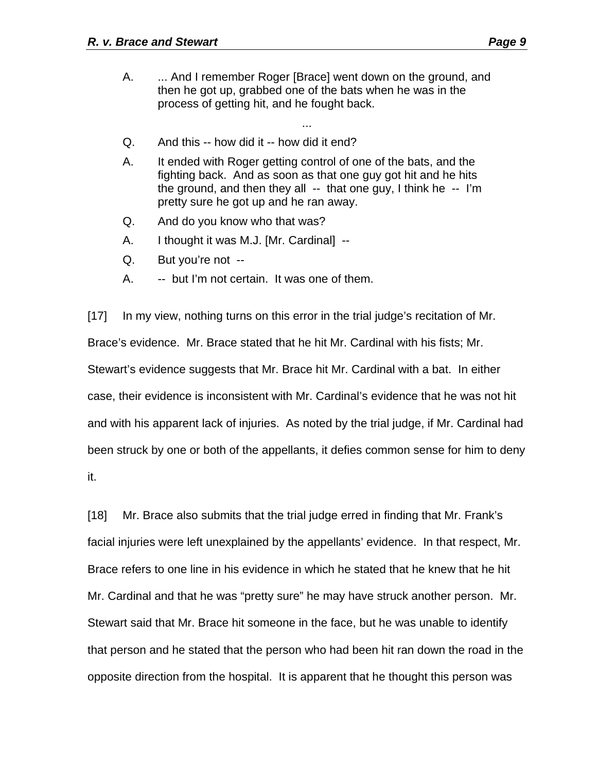A. ... And I remember Roger [Brace] went down on the ground, and then he got up, grabbed one of the bats when he was in the process of getting hit, and he fought back.

...

- Q. And this -- how did it -- how did it end?
- A. It ended with Roger getting control of one of the bats, and the fighting back. And as soon as that one guy got hit and he hits the ground, and then they all  $-$  that one guy, I think he  $-$  I'm pretty sure he got up and he ran away.
- Q. And do you know who that was?
- A. I thought it was M.J. [Mr. Cardinal] --
- Q. But you're not --
- A. -- but I'm not certain. It was one of them.

[17] In my view, nothing turns on this error in the trial judge's recitation of Mr. Brace's evidence. Mr. Brace stated that he hit Mr. Cardinal with his fists; Mr. Stewart's evidence suggests that Mr. Brace hit Mr. Cardinal with a bat. In either case, their evidence is inconsistent with Mr. Cardinal's evidence that he was not hit and with his apparent lack of injuries. As noted by the trial judge, if Mr. Cardinal had been struck by one or both of the appellants, it defies common sense for him to deny it.

[18] Mr. Brace also submits that the trial judge erred in finding that Mr. Frank's facial injuries were left unexplained by the appellants' evidence. In that respect, Mr. Brace refers to one line in his evidence in which he stated that he knew that he hit Mr. Cardinal and that he was "pretty sure" he may have struck another person. Mr. Stewart said that Mr. Brace hit someone in the face, but he was unable to identify that person and he stated that the person who had been hit ran down the road in the opposite direction from the hospital. It is apparent that he thought this person was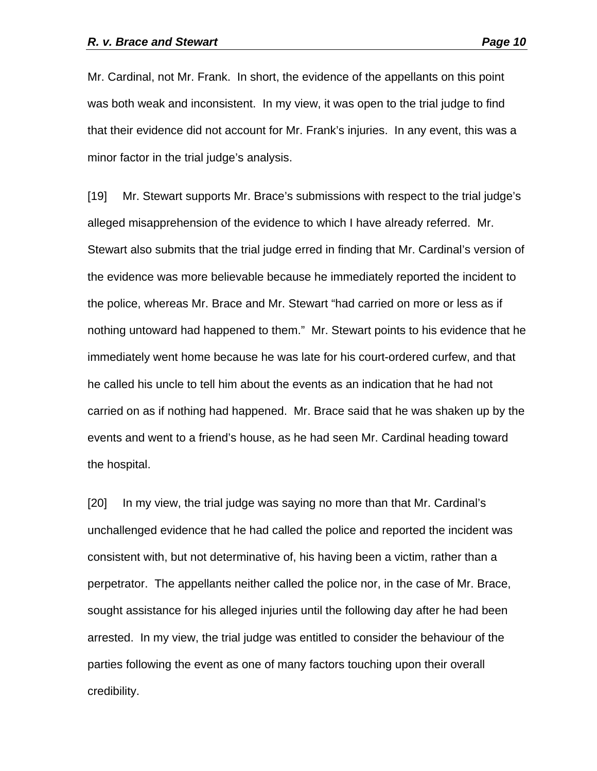Mr. Cardinal, not Mr. Frank. In short, the evidence of the appellants on this point was both weak and inconsistent. In my view, it was open to the trial judge to find that their evidence did not account for Mr. Frank's injuries. In any event, this was a minor factor in the trial judge's analysis.

[19] Mr. Stewart supports Mr. Brace's submissions with respect to the trial judge's alleged misapprehension of the evidence to which I have already referred. Mr. Stewart also submits that the trial judge erred in finding that Mr. Cardinal's version of the evidence was more believable because he immediately reported the incident to the police, whereas Mr. Brace and Mr. Stewart "had carried on more or less as if nothing untoward had happened to them." Mr. Stewart points to his evidence that he immediately went home because he was late for his court-ordered curfew, and that he called his uncle to tell him about the events as an indication that he had not carried on as if nothing had happened. Mr. Brace said that he was shaken up by the events and went to a friend's house, as he had seen Mr. Cardinal heading toward the hospital.

[20] In my view, the trial judge was saying no more than that Mr. Cardinal's unchallenged evidence that he had called the police and reported the incident was consistent with, but not determinative of, his having been a victim, rather than a perpetrator. The appellants neither called the police nor, in the case of Mr. Brace, sought assistance for his alleged injuries until the following day after he had been arrested. In my view, the trial judge was entitled to consider the behaviour of the parties following the event as one of many factors touching upon their overall credibility.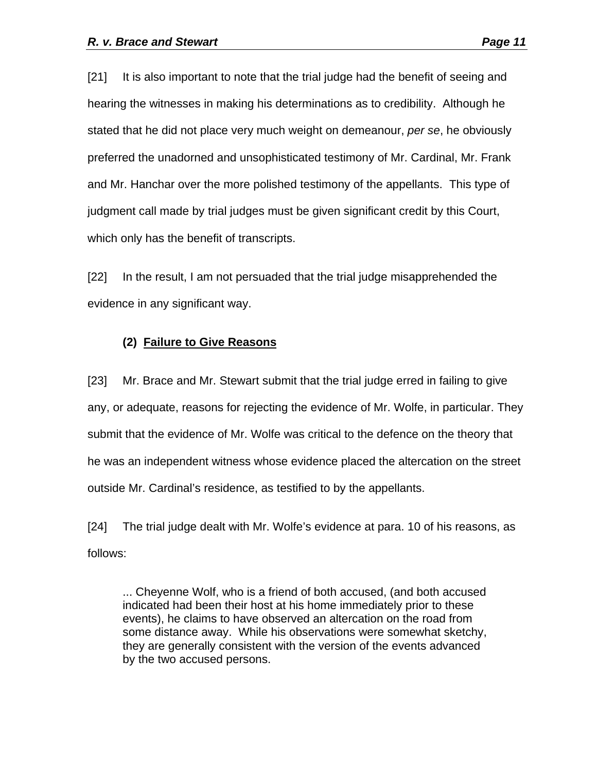[21] It is also important to note that the trial judge had the benefit of seeing and hearing the witnesses in making his determinations as to credibility. Although he stated that he did not place very much weight on demeanour, *per se*, he obviously preferred the unadorned and unsophisticated testimony of Mr. Cardinal, Mr. Frank and Mr. Hanchar over the more polished testimony of the appellants. This type of judgment call made by trial judges must be given significant credit by this Court, which only has the benefit of transcripts.

[22] In the result, I am not persuaded that the trial judge misapprehended the evidence in any significant way.

### **(2) Failure to Give Reasons**

[23] Mr. Brace and Mr. Stewart submit that the trial judge erred in failing to give any, or adequate, reasons for rejecting the evidence of Mr. Wolfe, in particular. They submit that the evidence of Mr. Wolfe was critical to the defence on the theory that he was an independent witness whose evidence placed the altercation on the street outside Mr. Cardinal's residence, as testified to by the appellants.

[24] The trial judge dealt with Mr. Wolfe's evidence at para. 10 of his reasons, as follows:

... Cheyenne Wolf, who is a friend of both accused, (and both accused indicated had been their host at his home immediately prior to these events), he claims to have observed an altercation on the road from some distance away. While his observations were somewhat sketchy, they are generally consistent with the version of the events advanced by the two accused persons.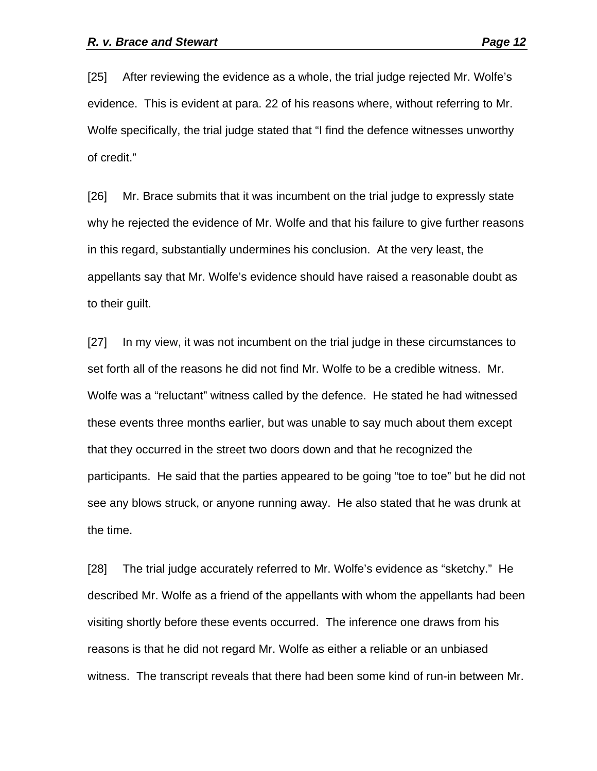[25] After reviewing the evidence as a whole, the trial judge rejected Mr. Wolfe's evidence. This is evident at para. 22 of his reasons where, without referring to Mr. Wolfe specifically, the trial judge stated that "I find the defence witnesses unworthy of credit."

[26] Mr. Brace submits that it was incumbent on the trial judge to expressly state why he rejected the evidence of Mr. Wolfe and that his failure to give further reasons in this regard, substantially undermines his conclusion. At the very least, the appellants say that Mr. Wolfe's evidence should have raised a reasonable doubt as to their guilt.

[27] In my view, it was not incumbent on the trial judge in these circumstances to set forth all of the reasons he did not find Mr. Wolfe to be a credible witness. Mr. Wolfe was a "reluctant" witness called by the defence. He stated he had witnessed these events three months earlier, but was unable to say much about them except that they occurred in the street two doors down and that he recognized the participants. He said that the parties appeared to be going "toe to toe" but he did not see any blows struck, or anyone running away. He also stated that he was drunk at the time.

[28] The trial judge accurately referred to Mr. Wolfe's evidence as "sketchy." He described Mr. Wolfe as a friend of the appellants with whom the appellants had been visiting shortly before these events occurred. The inference one draws from his reasons is that he did not regard Mr. Wolfe as either a reliable or an unbiased witness. The transcript reveals that there had been some kind of run-in between Mr.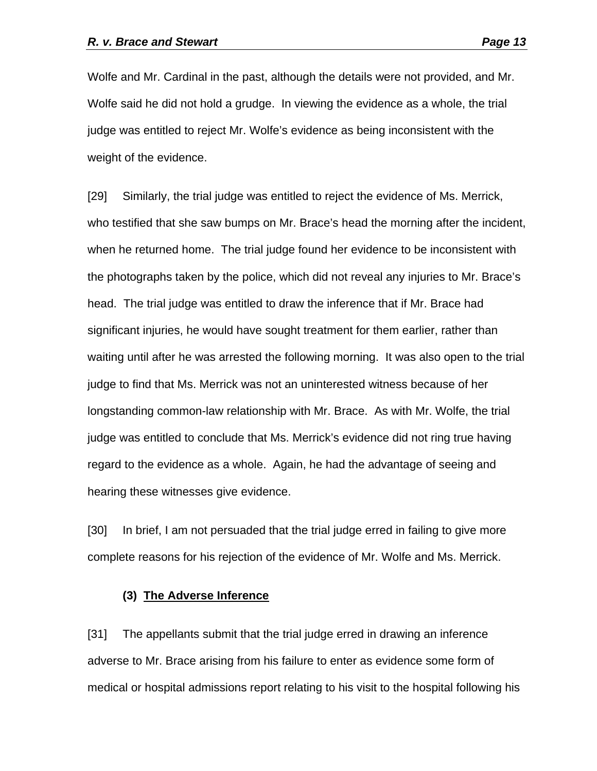Wolfe and Mr. Cardinal in the past, although the details were not provided, and Mr. Wolfe said he did not hold a grudge. In viewing the evidence as a whole, the trial judge was entitled to reject Mr. Wolfe's evidence as being inconsistent with the weight of the evidence.

[29] Similarly, the trial judge was entitled to reject the evidence of Ms. Merrick, who testified that she saw bumps on Mr. Brace's head the morning after the incident, when he returned home. The trial judge found her evidence to be inconsistent with the photographs taken by the police, which did not reveal any injuries to Mr. Brace's head. The trial judge was entitled to draw the inference that if Mr. Brace had significant injuries, he would have sought treatment for them earlier, rather than waiting until after he was arrested the following morning. It was also open to the trial judge to find that Ms. Merrick was not an uninterested witness because of her longstanding common-law relationship with Mr. Brace. As with Mr. Wolfe, the trial judge was entitled to conclude that Ms. Merrick's evidence did not ring true having regard to the evidence as a whole. Again, he had the advantage of seeing and hearing these witnesses give evidence.

[30] In brief, I am not persuaded that the trial judge erred in failing to give more complete reasons for his rejection of the evidence of Mr. Wolfe and Ms. Merrick.

### **(3) The Adverse Inference**

[31] The appellants submit that the trial judge erred in drawing an inference adverse to Mr. Brace arising from his failure to enter as evidence some form of medical or hospital admissions report relating to his visit to the hospital following his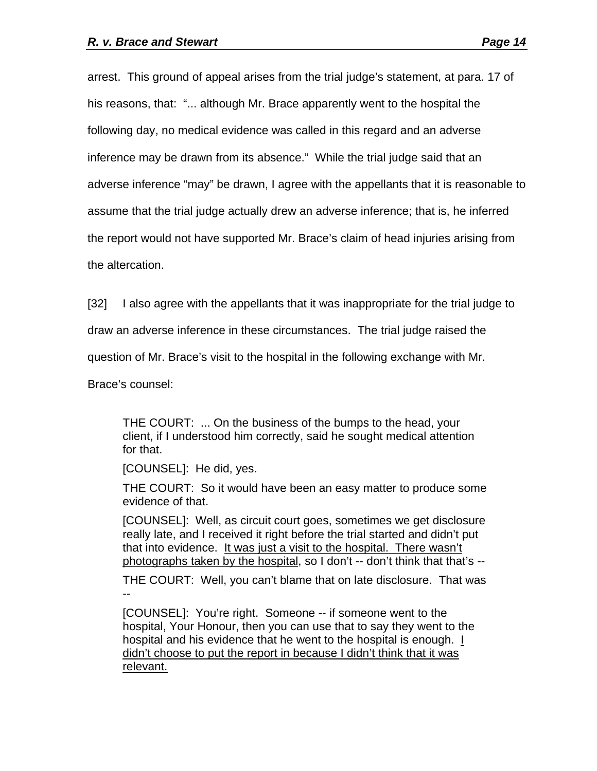arrest. This ground of appeal arises from the trial judge's statement, at para. 17 of his reasons, that: "... although Mr. Brace apparently went to the hospital the following day, no medical evidence was called in this regard and an adverse inference may be drawn from its absence." While the trial judge said that an adverse inference "may" be drawn, I agree with the appellants that it is reasonable to assume that the trial judge actually drew an adverse inference; that is, he inferred the report would not have supported Mr. Brace's claim of head injuries arising from the altercation.

[32] I also agree with the appellants that it was inappropriate for the trial judge to

draw an adverse inference in these circumstances. The trial judge raised the

question of Mr. Brace's visit to the hospital in the following exchange with Mr.

Brace's counsel:

THE COURT: ... On the business of the bumps to the head, your client, if I understood him correctly, said he sought medical attention for that.

[COUNSEL]: He did, yes.

THE COURT: So it would have been an easy matter to produce some evidence of that.

[COUNSEL]: Well, as circuit court goes, sometimes we get disclosure really late, and I received it right before the trial started and didn't put that into evidence. It was just a visit to the hospital. There wasn't photographs taken by the hospital, so I don't -- don't think that that's --

THE COURT: Well, you can't blame that on late disclosure. That was --

[COUNSEL]: You're right. Someone -- if someone went to the hospital, Your Honour, then you can use that to say they went to the hospital and his evidence that he went to the hospital is enough. I didn't choose to put the report in because I didn't think that it was relevant.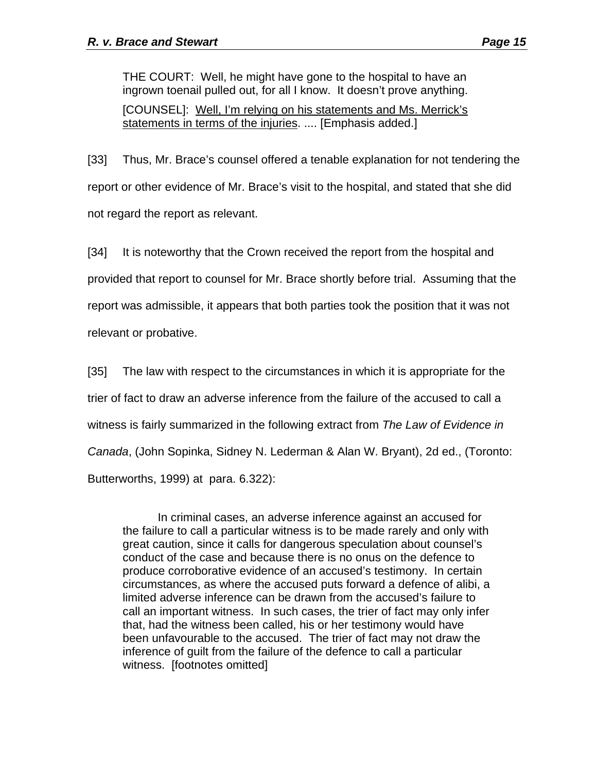THE COURT: Well, he might have gone to the hospital to have an ingrown toenail pulled out, for all I know. It doesn't prove anything. [COUNSEL]: Well, I'm relying on his statements and Ms. Merrick's statements in terms of the injuries. .... [Emphasis added.]

[33] Thus, Mr. Brace's counsel offered a tenable explanation for not tendering the report or other evidence of Mr. Brace's visit to the hospital, and stated that she did not regard the report as relevant.

[34] It is noteworthy that the Crown received the report from the hospital and provided that report to counsel for Mr. Brace shortly before trial. Assuming that the report was admissible, it appears that both parties took the position that it was not relevant or probative.

[35] The law with respect to the circumstances in which it is appropriate for the trier of fact to draw an adverse inference from the failure of the accused to call a witness is fairly summarized in the following extract from *The Law of Evidence in Canada*, (John Sopinka, Sidney N. Lederman & Alan W. Bryant), 2d ed., (Toronto: Butterworths, 1999) at para. 6.322):

In criminal cases, an adverse inference against an accused for the failure to call a particular witness is to be made rarely and only with great caution, since it calls for dangerous speculation about counsel's conduct of the case and because there is no onus on the defence to produce corroborative evidence of an accused's testimony. In certain circumstances, as where the accused puts forward a defence of alibi, a limited adverse inference can be drawn from the accused's failure to call an important witness. In such cases, the trier of fact may only infer that, had the witness been called, his or her testimony would have been unfavourable to the accused. The trier of fact may not draw the inference of guilt from the failure of the defence to call a particular witness. [footnotes omitted]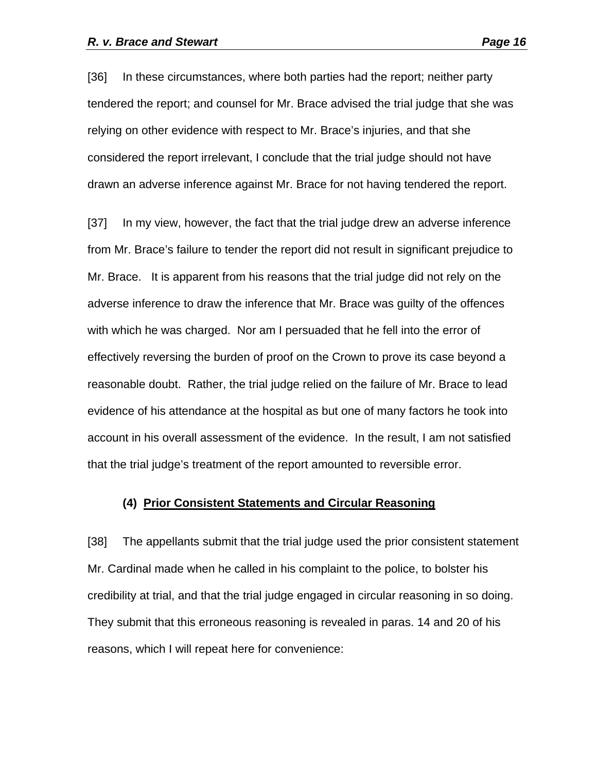[36] In these circumstances, where both parties had the report; neither party tendered the report; and counsel for Mr. Brace advised the trial judge that she was relying on other evidence with respect to Mr. Brace's injuries, and that she considered the report irrelevant, I conclude that the trial judge should not have drawn an adverse inference against Mr. Brace for not having tendered the report.

[37] In my view, however, the fact that the trial judge drew an adverse inference from Mr. Brace's failure to tender the report did not result in significant prejudice to Mr. Brace. It is apparent from his reasons that the trial judge did not rely on the adverse inference to draw the inference that Mr. Brace was guilty of the offences with which he was charged. Nor am I persuaded that he fell into the error of effectively reversing the burden of proof on the Crown to prove its case beyond a reasonable doubt. Rather, the trial judge relied on the failure of Mr. Brace to lead evidence of his attendance at the hospital as but one of many factors he took into account in his overall assessment of the evidence. In the result, I am not satisfied that the trial judge's treatment of the report amounted to reversible error.

### **(4) Prior Consistent Statements and Circular Reasoning**

[38] The appellants submit that the trial judge used the prior consistent statement Mr. Cardinal made when he called in his complaint to the police, to bolster his credibility at trial, and that the trial judge engaged in circular reasoning in so doing. They submit that this erroneous reasoning is revealed in paras. 14 and 20 of his reasons, which I will repeat here for convenience: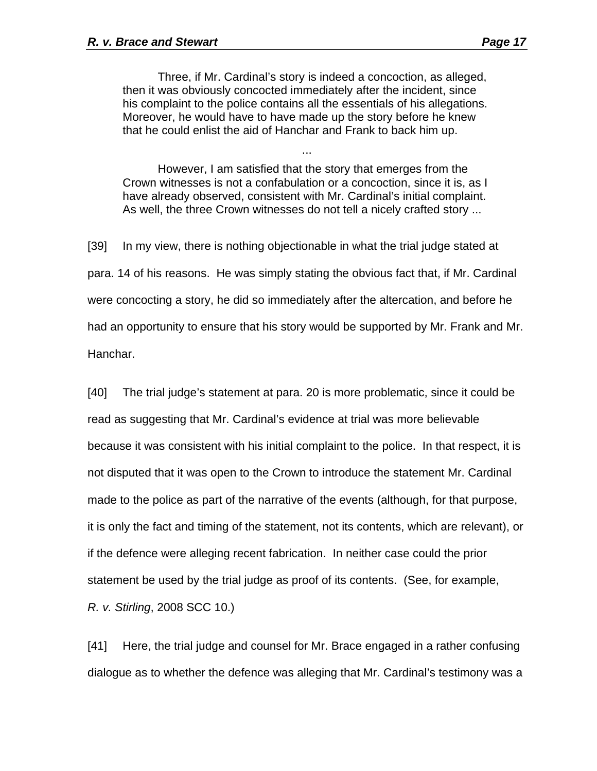Three, if Mr. Cardinal's story is indeed a concoction, as alleged, then it was obviously concocted immediately after the incident, since his complaint to the police contains all the essentials of his allegations. Moreover, he would have to have made up the story before he knew that he could enlist the aid of Hanchar and Frank to back him up.

However, I am satisfied that the story that emerges from the Crown witnesses is not a confabulation or a concoction, since it is, as I have already observed, consistent with Mr. Cardinal's initial complaint. As well, the three Crown witnesses do not tell a nicely crafted story ...

...

[39] In my view, there is nothing objectionable in what the trial judge stated at para. 14 of his reasons. He was simply stating the obvious fact that, if Mr. Cardinal were concocting a story, he did so immediately after the altercation, and before he had an opportunity to ensure that his story would be supported by Mr. Frank and Mr. Hanchar.

[40] The trial judge's statement at para. 20 is more problematic, since it could be read as suggesting that Mr. Cardinal's evidence at trial was more believable because it was consistent with his initial complaint to the police. In that respect, it is not disputed that it was open to the Crown to introduce the statement Mr. Cardinal made to the police as part of the narrative of the events (although, for that purpose, it is only the fact and timing of the statement, not its contents, which are relevant), or if the defence were alleging recent fabrication. In neither case could the prior statement be used by the trial judge as proof of its contents. (See, for example, *R. v. Stirling*, 2008 SCC 10.)

[41] Here, the trial judge and counsel for Mr. Brace engaged in a rather confusing dialogue as to whether the defence was alleging that Mr. Cardinal's testimony was a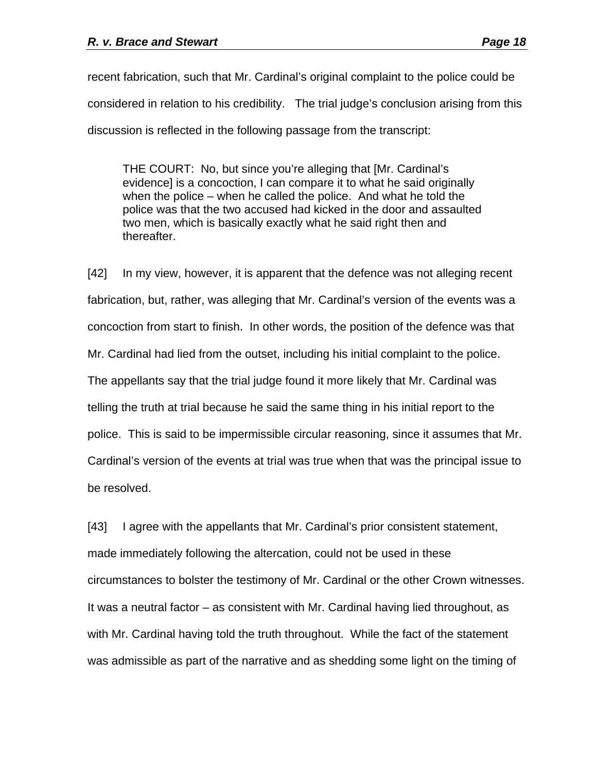recent fabrication, such that Mr. Cardinal's original complaint to the police could be considered in relation to his credibility. The trial judge's conclusion arising from this discussion is reflected in the following passage from the transcript:

THE COURT: No, but since you're alleging that [Mr. Cardinal's evidence] is a concoction, I can compare it to what he said originally when the police – when he called the police. And what he told the police was that the two accused had kicked in the door and assaulted two men, which is basically exactly what he said right then and thereafter.

[42] In my view, however, it is apparent that the defence was not alleging recent fabrication, but, rather, was alleging that Mr. Cardinal's version of the events was a concoction from start to finish. In other words, the position of the defence was that Mr. Cardinal had lied from the outset, including his initial complaint to the police. The appellants say that the trial judge found it more likely that Mr. Cardinal was telling the truth at trial because he said the same thing in his initial report to the police. This is said to be impermissible circular reasoning, since it assumes that Mr. Cardinal's version of the events at trial was true when that was the principal issue to be resolved.

[43] I agree with the appellants that Mr. Cardinal's prior consistent statement, made immediately following the altercation, could not be used in these circumstances to bolster the testimony of Mr. Cardinal or the other Crown witnesses. It was a neutral factor – as consistent with Mr. Cardinal having lied throughout, as with Mr. Cardinal having told the truth throughout. While the fact of the statement was admissible as part of the narrative and as shedding some light on the timing of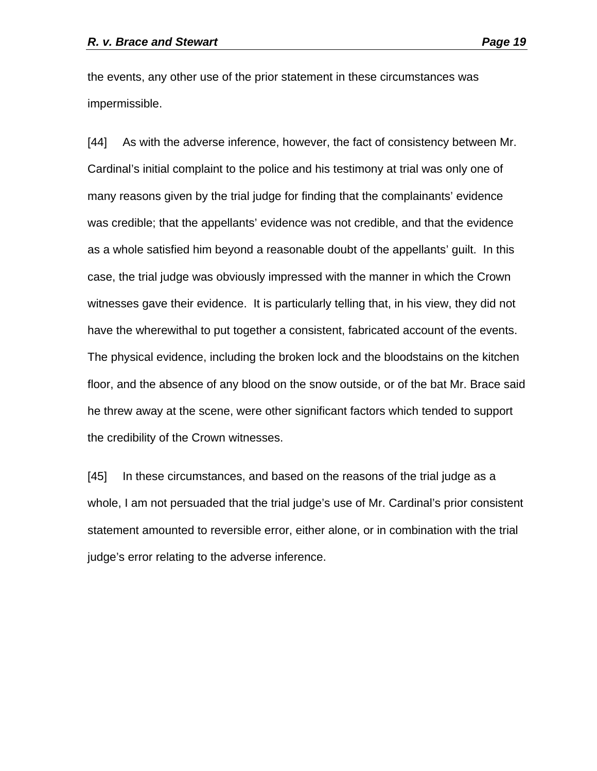the events, any other use of the prior statement in these circumstances was impermissible.

[44] As with the adverse inference, however, the fact of consistency between Mr. Cardinal's initial complaint to the police and his testimony at trial was only one of many reasons given by the trial judge for finding that the complainants' evidence was credible; that the appellants' evidence was not credible, and that the evidence as a whole satisfied him beyond a reasonable doubt of the appellants' guilt. In this case, the trial judge was obviously impressed with the manner in which the Crown witnesses gave their evidence. It is particularly telling that, in his view, they did not have the wherewithal to put together a consistent, fabricated account of the events. The physical evidence, including the broken lock and the bloodstains on the kitchen floor, and the absence of any blood on the snow outside, or of the bat Mr. Brace said he threw away at the scene, were other significant factors which tended to support the credibility of the Crown witnesses.

[45] In these circumstances, and based on the reasons of the trial judge as a whole, I am not persuaded that the trial judge's use of Mr. Cardinal's prior consistent statement amounted to reversible error, either alone, or in combination with the trial judge's error relating to the adverse inference.